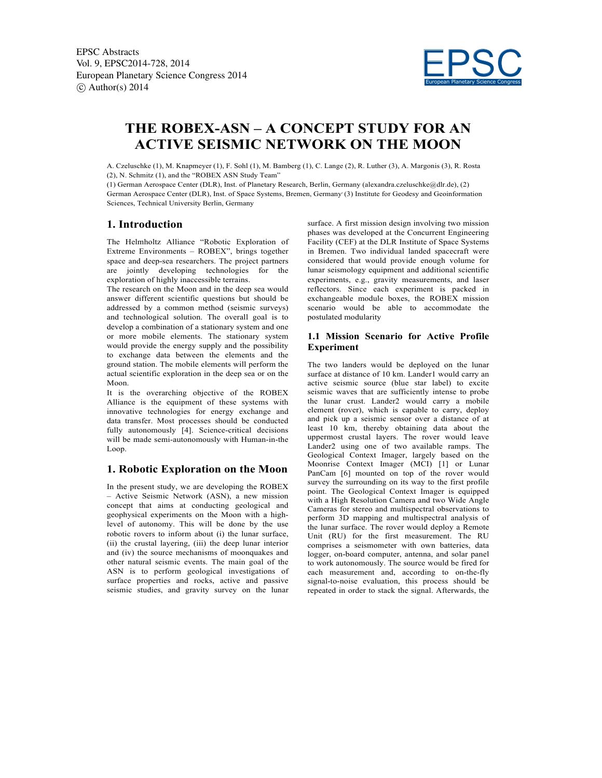

# **THE ROBEX-ASN – A CONCEPT STUDY FOR AN ACTIVE SEISMIC NETWORK ON THE MOON**

A. Czeluschke (1), M. Knapmeyer (1), F. Sohl (1), M. Bamberg (1), C. Lange (2), R. Luther (3), A. Margonis (3), R. Rosta (2), N. Schmitz (1), and the "ROBEX ASN Study Team"

(1) German Aerospace Center (DLR), Inst. of Planetary Research, Berlin, Germany (alexandra.czeluschke@dlr.de), (2) German Aerospace Center (DLR), Inst. of Space Systems, Bremen, Germany, (3) Institute for Geodesy and Geoinformation Sciences, Technical University Berlin, Germany

## **1. Introduction**

The Helmholtz Alliance "Robotic Exploration of Extreme Environments – ROBEX", brings together space and deep-sea researchers. The project partners are jointly developing technologies for the exploration of highly inaccessible terrains.

The research on the Moon and in the deep sea would answer different scientific questions but should be addressed by a common method (seismic surveys) and technological solution. The overall goal is to develop a combination of a stationary system and one or more mobile elements. The stationary system would provide the energy supply and the possibility to exchange data between the elements and the ground station. The mobile elements will perform the actual scientific exploration in the deep sea or on the Moon.

It is the overarching objective of the ROBEX Alliance is the equipment of these systems with innovative technologies for energy exchange and data transfer. Most processes should be conducted fully autonomously [4]. Science-critical decisions will be made semi-autonomously with Human-in-the Loop.

## **1. Robotic Exploration on the Moon**

In the present study, we are developing the ROBEX – Active Seismic Network (ASN), a new mission concept that aims at conducting geological and geophysical experiments on the Moon with a highlevel of autonomy. This will be done by the use robotic rovers to inform about (i) the lunar surface, (ii) the crustal layering, (iii) the deep lunar interior and (iv) the source mechanisms of moonquakes and other natural seismic events. The main goal of the ASN is to perform geological investigations of surface properties and rocks, active and passive seismic studies, and gravity survey on the lunar

surface. A first mission design involving two mission phases was developed at the Concurrent Engineering Facility (CEF) at the DLR Institute of Space Systems in Bremen. Two individual landed spacecraft were considered that would provide enough volume for lunar seismology equipment and additional scientific experiments, e.g., gravity measurements, and laser reflectors. Since each experiment is packed in exchangeable module boxes, the ROBEX mission scenario would be able to accommodate the postulated modularity

#### **1.1 Mission Scenario for Active Profile Experiment**

The two landers would be deployed on the lunar surface at distance of 10 km. Lander1 would carry an active seismic source (blue star label) to excite seismic waves that are sufficiently intense to probe the lunar crust. Lander2 would carry a mobile element (rover), which is capable to carry, deploy and pick up a seismic sensor over a distance of at least 10 km, thereby obtaining data about the uppermost crustal layers. The rover would leave Lander2 using one of two available ramps. The Geological Context Imager, largely based on the Moonrise Context Imager (MCI) [1] or Lunar PanCam [6] mounted on top of the rover would survey the surrounding on its way to the first profile point. The Geological Context Imager is equipped with a High Resolution Camera and two Wide Angle Cameras for stereo and multispectral observations to perform 3D mapping and multispectral analysis of the lunar surface. The rover would deploy a Remote Unit (RU) for the first measurement. The RU comprises a seismometer with own batteries, data logger, on-board computer, antenna, and solar panel to work autonomously. The source would be fired for each measurement and, according to on-the-fly signal-to-noise evaluation, this process should be repeated in order to stack the signal. Afterwards, the